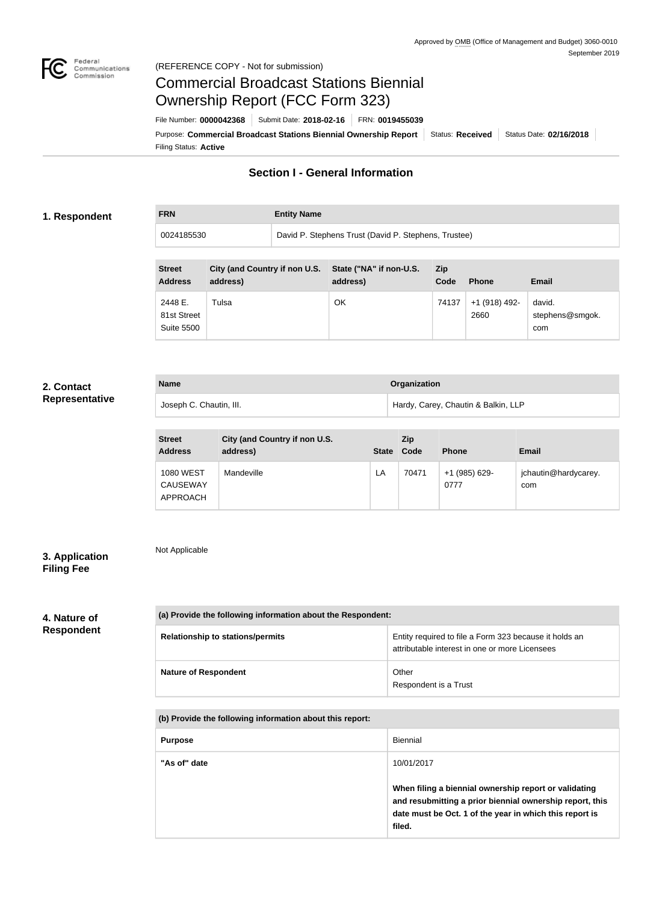

# Commercial Broadcast Stations Biennial Ownership Report (FCC Form 323)

Filing Status: **Active** Purpose: Commercial Broadcast Stations Biennial Ownership Report Status: Received Status Date: 02/16/2018 File Number: **0000042368** Submit Date: **2018-02-16** FRN: **0019455039**

### **Section I - General Information**

#### **1. Respondent**

**FRN Entity Name**

0024185530 David P. Stephens Trust (David P. Stephens, Trustee)

| <b>Street</b><br><b>Address</b> | City (and Country if non U.S.<br>address) | State ("NA" if non-U.S.<br>address) | <b>Zip</b><br>Code | <b>Phone</b>          | <b>Email</b>              |
|---------------------------------|-------------------------------------------|-------------------------------------|--------------------|-----------------------|---------------------------|
| 2448 E.<br>81st Street          | Tulsa                                     | ΟK                                  | 74137              | +1 (918) 492-<br>2660 | david.<br>stephens@smgok. |
| <b>Suite 5500</b>               |                                           |                                     |                    |                       | com                       |

#### **2. Contact Representative**

| <b>Name</b> |                         | Organization                        |  |
|-------------|-------------------------|-------------------------------------|--|
|             | Joseph C. Chautin, III. | Hardy, Carey, Chautin & Balkin, LLP |  |

| <b>Street</b><br><b>Address</b>                 | City (and Country if non U.S.<br>address) | <b>State</b> | <b>Zip</b><br>Code | <b>Phone</b>          | Email                       |
|-------------------------------------------------|-------------------------------------------|--------------|--------------------|-----------------------|-----------------------------|
| <b>1080 WEST</b><br><b>CAUSEWAY</b><br>APPROACH | Mandeville                                | LA           | 70471              | +1 (985) 629-<br>0777 | jchautin@hardycarey.<br>com |

#### **3. Application Filing Fee**

Not Applicable

| 4. Nature of      |  |
|-------------------|--|
| <b>Respondent</b> |  |

| (a) Provide the following information about the Respondent: |                                                                                                          |  |  |  |
|-------------------------------------------------------------|----------------------------------------------------------------------------------------------------------|--|--|--|
| <b>Relationship to stations/permits</b>                     | Entity required to file a Form 323 because it holds an<br>attributable interest in one or more Licensees |  |  |  |
| <b>Nature of Respondent</b>                                 | Other<br>Respondent is a Trust                                                                           |  |  |  |

**(b) Provide the following information about this report:**

| <b>Purpose</b> | Biennial                                                                                                                      |
|----------------|-------------------------------------------------------------------------------------------------------------------------------|
| "As of" date   | 10/01/2017<br>When filing a biennial ownership report or validating                                                           |
|                | and resubmitting a prior biennial ownership report, this<br>date must be Oct. 1 of the year in which this report is<br>filed. |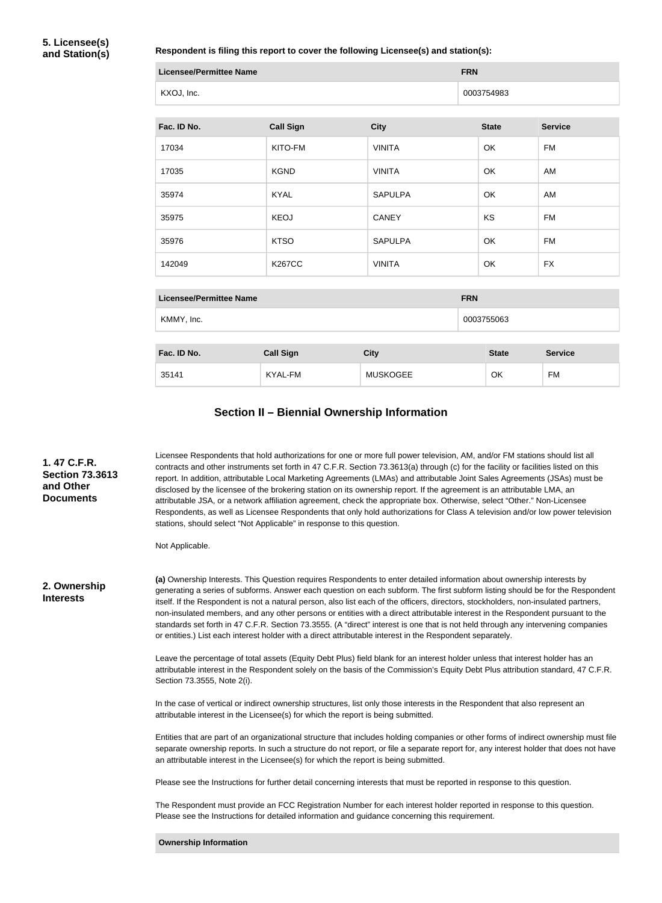**5. Licensee(s) and Station(s)**

**Respondent is filing this report to cover the following Licensee(s) and station(s):**

| <b>Licensee/Permittee Name</b> |                  |                | <b>FRN</b>   |                |  |  |
|--------------------------------|------------------|----------------|--------------|----------------|--|--|
| KXOJ, Inc.                     |                  |                | 0003754983   |                |  |  |
|                                |                  |                |              |                |  |  |
| Fac. ID No.                    | <b>Call Sign</b> | <b>City</b>    | <b>State</b> | <b>Service</b> |  |  |
| 17034                          | KITO-FM          | <b>VINITA</b>  | OK           | FM             |  |  |
| 17035                          | <b>KGND</b>      | <b>VINITA</b>  | OK           | AM             |  |  |
| 35974                          | <b>KYAL</b>      | <b>SAPULPA</b> | OK           | AM             |  |  |
| 35975                          | <b>KEOJ</b>      | <b>CANEY</b>   | <b>KS</b>    | <b>FM</b>      |  |  |
| 35976                          | <b>KTSO</b>      | <b>SAPULPA</b> | OK           | <b>FM</b>      |  |  |
| 142049                         | <b>K267CC</b>    | <b>VINITA</b>  | OK           | <b>FX</b>      |  |  |
|                                |                  |                |              |                |  |  |

| <b>Licensee/Permittee Name</b> |                  |                 |            | <b>FRN</b>   |                |  |
|--------------------------------|------------------|-----------------|------------|--------------|----------------|--|
| KMMY, Inc.                     |                  |                 | 0003755063 |              |                |  |
|                                |                  |                 |            |              |                |  |
| Fac. ID No.                    | <b>Call Sign</b> | <b>City</b>     |            | <b>State</b> | <b>Service</b> |  |
| 35141                          | KYAL-FM          | <b>MUSKOGEE</b> |            | OK           | FM             |  |

## **Section II – Biennial Ownership Information**

| 1.47 C.F.R.<br><b>Section 73.3613</b><br>and Other<br><b>Documents</b> | Licensee Respondents that hold authorizations for one or more full power television, AM, and/or FM stations should list all<br>contracts and other instruments set forth in 47 C.F.R. Section 73.3613(a) through (c) for the facility or facilities listed on this<br>report. In addition, attributable Local Marketing Agreements (LMAs) and attributable Joint Sales Agreements (JSAs) must be<br>disclosed by the licensee of the brokering station on its ownership report. If the agreement is an attributable LMA, an<br>attributable JSA, or a network affiliation agreement, check the appropriate box. Otherwise, select "Other." Non-Licensee<br>Respondents, as well as Licensee Respondents that only hold authorizations for Class A television and/or low power television<br>stations, should select "Not Applicable" in response to this question.<br>Not Applicable. |
|------------------------------------------------------------------------|---------------------------------------------------------------------------------------------------------------------------------------------------------------------------------------------------------------------------------------------------------------------------------------------------------------------------------------------------------------------------------------------------------------------------------------------------------------------------------------------------------------------------------------------------------------------------------------------------------------------------------------------------------------------------------------------------------------------------------------------------------------------------------------------------------------------------------------------------------------------------------------|
| 2. Ownership<br><b>Interests</b>                                       | (a) Ownership Interests. This Question requires Respondents to enter detailed information about ownership interests by<br>generating a series of subforms. Answer each question on each subform. The first subform listing should be for the Respondent<br>itself. If the Respondent is not a natural person, also list each of the officers, directors, stockholders, non-insulated partners,<br>non-insulated members, and any other persons or entities with a direct attributable interest in the Respondent pursuant to the<br>standards set forth in 47 C.F.R. Section 73.3555. (A "direct" interest is one that is not held through any intervening companies<br>or entities.) List each interest holder with a direct attributable interest in the Respondent separately.                                                                                                     |
|                                                                        | Leave the percentage of total assets (Equity Debt Plus) field blank for an interest holder unless that interest holder has an<br>attributable interest in the Respondent solely on the basis of the Commission's Equity Debt Plus attribution standard, 47 C.F.R.<br>Section 73.3555, Note 2(i).                                                                                                                                                                                                                                                                                                                                                                                                                                                                                                                                                                                      |
|                                                                        | In the case of vertical or indirect ownership structures, list only those interests in the Respondent that also represent an<br>attributable interest in the Licensee(s) for which the report is being submitted.                                                                                                                                                                                                                                                                                                                                                                                                                                                                                                                                                                                                                                                                     |
|                                                                        | Entities that are part of an organizational structure that includes holding companies or other forms of indirect ownership must file<br>separate ownership reports. In such a structure do not report, or file a separate report for, any interest holder that does not have<br>an attributable interest in the Licensee(s) for which the report is being submitted.                                                                                                                                                                                                                                                                                                                                                                                                                                                                                                                  |
|                                                                        | Please see the Instructions for further detail concerning interests that must be reported in response to this question.                                                                                                                                                                                                                                                                                                                                                                                                                                                                                                                                                                                                                                                                                                                                                               |
|                                                                        | The Respondent must provide an FCC Registration Number for each interest holder reported in response to this question.<br>Please see the Instructions for detailed information and guidance concerning this requirement.                                                                                                                                                                                                                                                                                                                                                                                                                                                                                                                                                                                                                                                              |
|                                                                        | <b>Ownership Information</b>                                                                                                                                                                                                                                                                                                                                                                                                                                                                                                                                                                                                                                                                                                                                                                                                                                                          |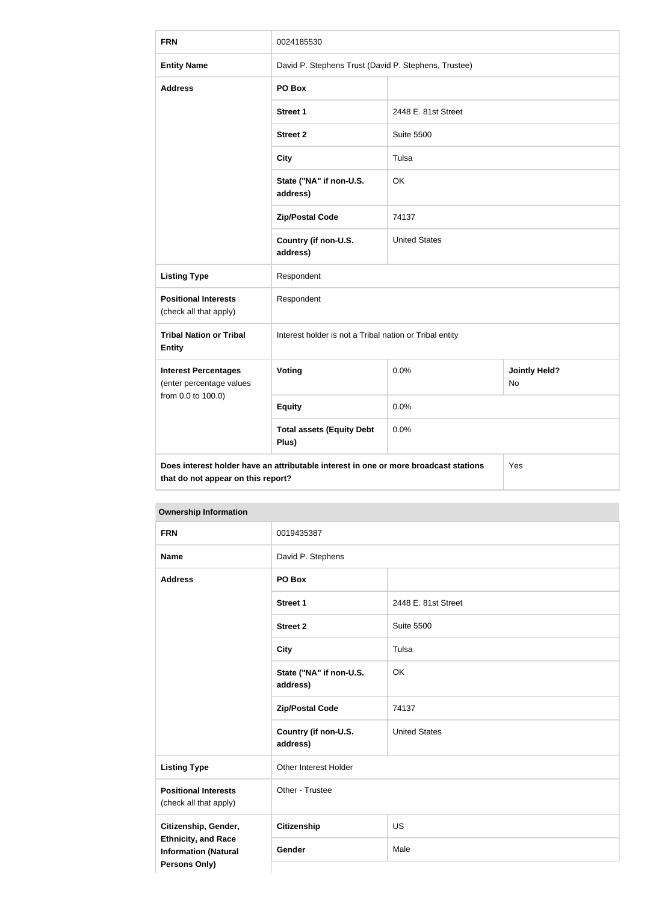| <b>FRN</b>                                                                                                                        | 0024185530                                              |                      |                            |  |
|-----------------------------------------------------------------------------------------------------------------------------------|---------------------------------------------------------|----------------------|----------------------------|--|
| <b>Entity Name</b>                                                                                                                | David P. Stephens Trust (David P. Stephens, Trustee)    |                      |                            |  |
| <b>Address</b>                                                                                                                    | PO Box                                                  |                      |                            |  |
|                                                                                                                                   | <b>Street 1</b>                                         | 2448 E. 81st Street  |                            |  |
|                                                                                                                                   | <b>Street 2</b>                                         | <b>Suite 5500</b>    |                            |  |
|                                                                                                                                   | <b>City</b>                                             | Tulsa                |                            |  |
|                                                                                                                                   | State ("NA" if non-U.S.<br>address)                     | OK                   |                            |  |
|                                                                                                                                   | <b>Zip/Postal Code</b>                                  | 74137                |                            |  |
|                                                                                                                                   | Country (if non-U.S.<br>address)                        | <b>United States</b> |                            |  |
| <b>Listing Type</b>                                                                                                               | Respondent                                              |                      |                            |  |
| <b>Positional Interests</b><br>(check all that apply)                                                                             | Respondent                                              |                      |                            |  |
| <b>Tribal Nation or Tribal</b><br><b>Entity</b>                                                                                   | Interest holder is not a Tribal nation or Tribal entity |                      |                            |  |
| <b>Interest Percentages</b><br>(enter percentage values                                                                           | Voting                                                  | 0.0%                 | <b>Jointly Held?</b><br>No |  |
| from 0.0 to 100.0)                                                                                                                | <b>Equity</b>                                           | 0.0%                 |                            |  |
|                                                                                                                                   | <b>Total assets (Equity Debt</b><br>Plus)               | 0.0%                 |                            |  |
| Does interest holder have an attributable interest in one or more broadcast stations<br>Yes<br>that do not appear on this report? |                                                         |                      |                            |  |

| <b>FRN</b>                                                                        | 0019435387                          |                      |  |  |
|-----------------------------------------------------------------------------------|-------------------------------------|----------------------|--|--|
| <b>Name</b>                                                                       | David P. Stephens                   |                      |  |  |
| <b>Address</b>                                                                    | PO Box                              |                      |  |  |
|                                                                                   | <b>Street 1</b>                     | 2448 E. 81st Street  |  |  |
|                                                                                   | <b>Street 2</b>                     | <b>Suite 5500</b>    |  |  |
|                                                                                   | <b>City</b>                         | Tulsa                |  |  |
|                                                                                   | State ("NA" if non-U.S.<br>address) | OK                   |  |  |
|                                                                                   | <b>Zip/Postal Code</b>              | 74137                |  |  |
|                                                                                   | Country (if non-U.S.<br>address)    | <b>United States</b> |  |  |
| <b>Listing Type</b>                                                               | Other Interest Holder               |                      |  |  |
| <b>Positional Interests</b><br>(check all that apply)                             | Other - Trustee                     |                      |  |  |
| Citizenship, Gender,                                                              | Citizenship                         | US                   |  |  |
| <b>Ethnicity, and Race</b><br><b>Information (Natural</b><br><b>Persons Only)</b> | Gender                              | Male                 |  |  |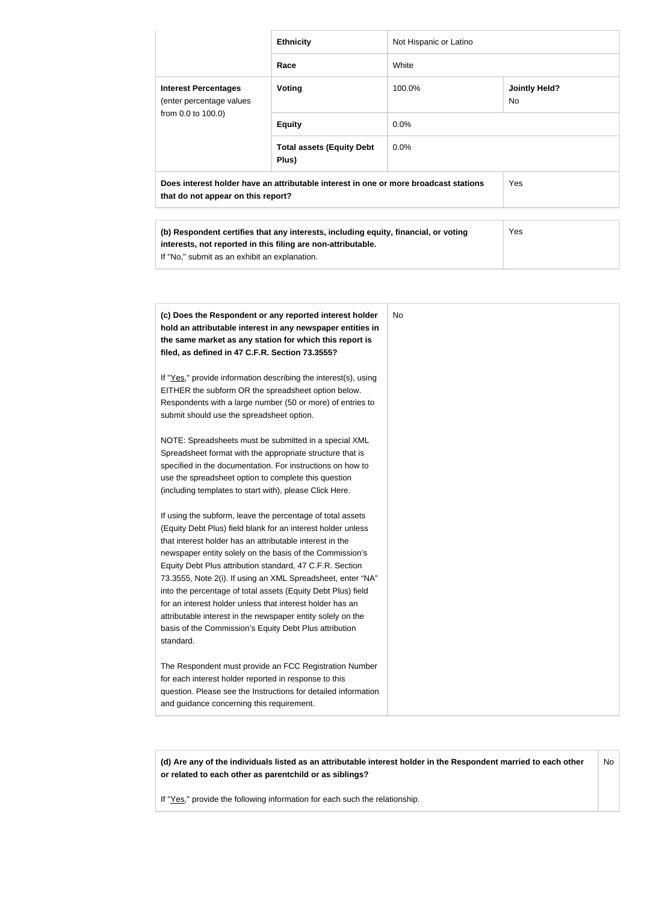|                                                                                                                                                                                                                                                                                                                                                                                                                                                                                                                                                                                                                                                                                                                              | <b>Ethnicity</b>                                                                                                                                                                                                                                                                                                                                                                                                                                                                                                                                                                                                                                                                                    | Not Hispanic or Latino |                            |
|------------------------------------------------------------------------------------------------------------------------------------------------------------------------------------------------------------------------------------------------------------------------------------------------------------------------------------------------------------------------------------------------------------------------------------------------------------------------------------------------------------------------------------------------------------------------------------------------------------------------------------------------------------------------------------------------------------------------------|-----------------------------------------------------------------------------------------------------------------------------------------------------------------------------------------------------------------------------------------------------------------------------------------------------------------------------------------------------------------------------------------------------------------------------------------------------------------------------------------------------------------------------------------------------------------------------------------------------------------------------------------------------------------------------------------------------|------------------------|----------------------------|
|                                                                                                                                                                                                                                                                                                                                                                                                                                                                                                                                                                                                                                                                                                                              | Race                                                                                                                                                                                                                                                                                                                                                                                                                                                                                                                                                                                                                                                                                                | White                  |                            |
| <b>Interest Percentages</b><br>(enter percentage values                                                                                                                                                                                                                                                                                                                                                                                                                                                                                                                                                                                                                                                                      | Voting                                                                                                                                                                                                                                                                                                                                                                                                                                                                                                                                                                                                                                                                                              | 100.0%                 | <b>Jointly Held?</b><br>No |
| from 0.0 to 100.0)                                                                                                                                                                                                                                                                                                                                                                                                                                                                                                                                                                                                                                                                                                           | <b>Equity</b>                                                                                                                                                                                                                                                                                                                                                                                                                                                                                                                                                                                                                                                                                       | 0.0%                   |                            |
|                                                                                                                                                                                                                                                                                                                                                                                                                                                                                                                                                                                                                                                                                                                              | <b>Total assets (Equity Debt</b><br>Plus)                                                                                                                                                                                                                                                                                                                                                                                                                                                                                                                                                                                                                                                           | 0.0%                   |                            |
| that do not appear on this report?                                                                                                                                                                                                                                                                                                                                                                                                                                                                                                                                                                                                                                                                                           | Does interest holder have an attributable interest in one or more broadcast stations                                                                                                                                                                                                                                                                                                                                                                                                                                                                                                                                                                                                                |                        | Yes                        |
| If "No," submit as an exhibit an explanation.                                                                                                                                                                                                                                                                                                                                                                                                                                                                                                                                                                                                                                                                                | (b) Respondent certifies that any interests, including equity, financial, or voting<br>interests, not reported in this filing are non-attributable.                                                                                                                                                                                                                                                                                                                                                                                                                                                                                                                                                 |                        | Yes                        |
|                                                                                                                                                                                                                                                                                                                                                                                                                                                                                                                                                                                                                                                                                                                              |                                                                                                                                                                                                                                                                                                                                                                                                                                                                                                                                                                                                                                                                                                     |                        |                            |
| filed, as defined in 47 C.F.R. Section 73.3555?<br>EITHER the subform OR the spreadsheet option below.<br>submit should use the spreadsheet option.<br>Spreadsheet format with the appropriate structure that is<br>use the spreadsheet option to complete this question<br>(including templates to start with), please Click Here.<br>If using the subform, leave the percentage of total assets<br>that interest holder has an attributable interest in the<br>Equity Debt Plus attribution standard, 47 C.F.R. Section<br>for an interest holder unless that interest holder has an<br>attributable interest in the newspaper entity solely on the<br>basis of the Commission's Equity Debt Plus attribution<br>standard. | (c) Does the Respondent or any reported interest holder<br>hold an attributable interest in any newspaper entities in<br>the same market as any station for which this report is<br>If "Yes," provide information describing the interest(s), using<br>Respondents with a large number (50 or more) of entries to<br>NOTE: Spreadsheets must be submitted in a special XML<br>specified in the documentation. For instructions on how to<br>(Equity Debt Plus) field blank for an interest holder unless<br>newspaper entity solely on the basis of the Commission's<br>73.3555, Note 2(i). If using an XML Spreadsheet, enter "NA"<br>into the percentage of total assets (Equity Debt Plus) field | <b>No</b>              |                            |
| for each interest holder reported in response to this<br>and guidance concerning this requirement.                                                                                                                                                                                                                                                                                                                                                                                                                                                                                                                                                                                                                           | The Respondent must provide an FCC Registration Number<br>question. Please see the Instructions for detailed information                                                                                                                                                                                                                                                                                                                                                                                                                                                                                                                                                                            |                        |                            |

**(d) Are any of the individuals listed as an attributable interest holder in the Respondent married to each other or related to each other as parentchild or as siblings?** No

If "Yes," provide the following information for each such the relationship.